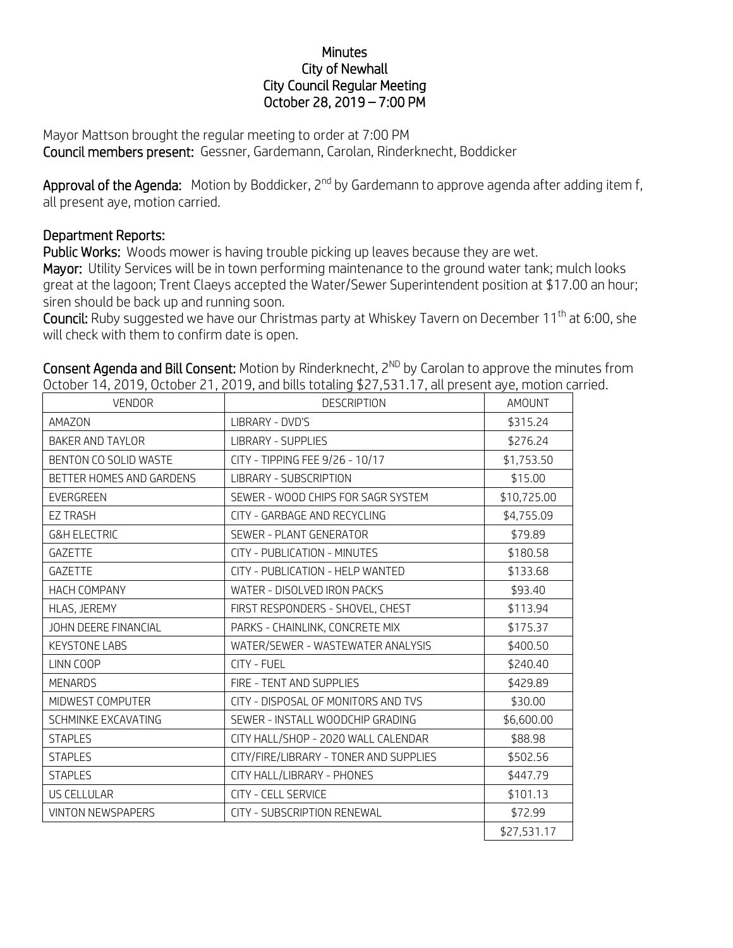## **Minutes** City of Newhall City Council Regular Meeting October 28, 2019 – 7:00 PM

Mayor Mattson brought the regular meeting to order at 7:00 PM Council members present: Gessner, Gardemann, Carolan, Rinderknecht, Boddicker

Approval of the Agenda: Motion by Boddicker, 2<sup>nd</sup> by Gardemann to approve agenda after adding item f, all present aye, motion carried.

## Department Reports:

Public Works: Woods mower is having trouble picking up leaves because they are wet. Mayor: Utility Services will be in town performing maintenance to the ground water tank; mulch looks great at the lagoon; Trent Claeys accepted the Water/Sewer Superintendent position at \$17.00 an hour; siren should be back up and running soon.

Council: Ruby suggested we have our Christmas party at Whiskey Tavern on December 11th at 6:00, she will check with them to confirm date is open.

| <b>VENDOR</b>            | טוויטרי וואס היי ג'וי וויט, וואס היי ג'וייט, או היי ג'וייט, או היי ג'וייט, או היי ג'וייט וויט א או היי ג'וייט ו<br><b>DESCRIPTION</b> | <b>AMOUNT</b> |
|--------------------------|---------------------------------------------------------------------------------------------------------------------------------------|---------------|
| AMAZON                   | LIBRARY - DVD'S                                                                                                                       | \$315.24      |
| <b>BAKER AND TAYLOR</b>  | <b>LIBRARY - SUPPLIES</b>                                                                                                             | \$276.24      |
| BENTON CO SOLID WASTE    | CITY - TIPPING FEE 9/26 - 10/17                                                                                                       | \$1,753.50    |
| BETTER HOMES AND GARDENS | LIBRARY - SUBSCRIPTION                                                                                                                | \$15.00       |
| EVERGREEN                | SEWER - WOOD CHIPS FOR SAGR SYSTEM                                                                                                    | \$10,725.00   |
| <b>EZ TRASH</b>          | CITY - GARBAGE AND RECYCLING                                                                                                          | \$4,755.09    |
| <b>G&amp;H ELECTRIC</b>  | SEWER - PLANT GENERATOR                                                                                                               | \$79.89       |
| GAZETTE                  | CITY - PUBLICATION - MINUTES                                                                                                          | \$180.58      |
| <b>GAZETTE</b>           | CITY - PUBLICATION - HELP WANTED                                                                                                      | \$133.68      |
| <b>HACH COMPANY</b>      | WATER - DISOLVED IRON PACKS                                                                                                           | \$93.40       |
| HLAS, JEREMY             | FIRST RESPONDERS - SHOVEL, CHEST                                                                                                      | \$113.94      |
| JOHN DEERE FINANCIAL     | PARKS - CHAINLINK, CONCRETE MIX                                                                                                       | \$175.37      |
| <b>KEYSTONE LABS</b>     | WATER/SEWER - WASTEWATER ANALYSIS                                                                                                     | \$400.50      |
| LINN COOP                | CITY - FUEL                                                                                                                           | \$240.40      |
| <b>MENARDS</b>           | FIRE - TENT AND SUPPLIES                                                                                                              | \$429.89      |
| MIDWEST COMPUTER         | CITY - DISPOSAL OF MONITORS AND TVS                                                                                                   | \$30.00       |
| SCHMINKE EXCAVATING      | SEWER - INSTALL WOODCHIP GRADING                                                                                                      | \$6,600.00    |
| <b>STAPLES</b>           | CITY HALL/SHOP - 2020 WALL CALENDAR                                                                                                   | \$88.98       |
| <b>STAPLES</b>           | CITY/FIRE/LIBRARY - TONER AND SUPPLIES                                                                                                | \$502.56      |
| <b>STAPLES</b>           | CITY HALL/LIBRARY - PHONES                                                                                                            | \$447.79      |
| US CELLULAR              | <b>CITY - CELL SERVICE</b>                                                                                                            | \$101.13      |
| <b>VINTON NEWSPAPERS</b> | CITY - SUBSCRIPTION RENEWAL                                                                                                           | \$72.99       |
|                          |                                                                                                                                       | \$27,531.17   |

Consent Agenda and Bill Consent: Motion by Rinderknecht, 2<sup>ND</sup> by Carolan to approve the minutes from October 14, 2019, October 21, 2019, and bills totaling \$27,531.17, all present aye, motion carried.